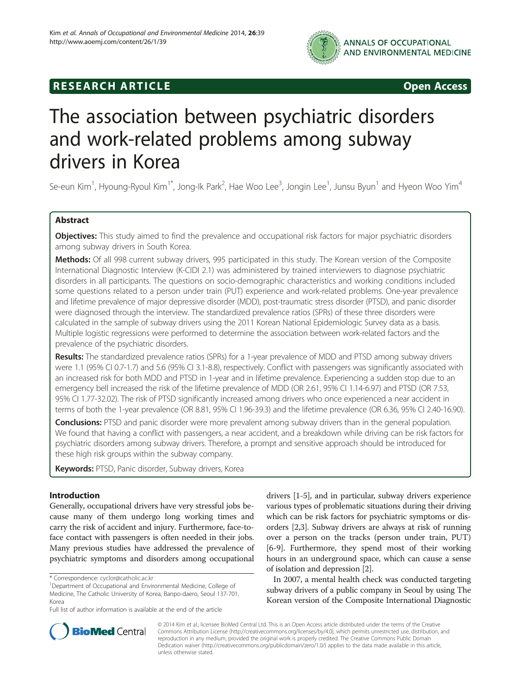

## **RESEARCH ARTICLE Example 20 and 20 and 20 and 20 and 20 and 20 and 20 and 20 and 20 and 20 and 20 and 20 and 20 and 20 and 20 and 20 and 20 and 20 and 20 and 20 and 20 and 20 and 20 and 20 and 20 and 20 and 20 and 20 an**

# The association between psychiatric disorders and work-related problems among subway drivers in Korea

Se-eun Kim<sup>1</sup>, Hyoung-Ryoul Kim<sup>1\*</sup>, Jong-Ik Park<sup>2</sup>, Hae Woo Lee<sup>3</sup>, Jongin Lee<sup>1</sup>, Junsu Byun<sup>1</sup> and Hyeon Woo Yim<sup>4</sup>

## Abstract

Objectives: This study aimed to find the prevalence and occupational risk factors for major psychiatric disorders among subway drivers in South Korea.

Methods: Of all 998 current subway drivers, 995 participated in this study. The Korean version of the Composite International Diagnostic Interview (K-CIDI 2.1) was administered by trained interviewers to diagnose psychiatric disorders in all participants. The questions on socio-demographic characteristics and working conditions included some questions related to a person under train (PUT) experience and work-related problems. One-year prevalence and lifetime prevalence of major depressive disorder (MDD), post-traumatic stress disorder (PTSD), and panic disorder were diagnosed through the interview. The standardized prevalence ratios (SPRs) of these three disorders were calculated in the sample of subway drivers using the 2011 Korean National Epidemiologic Survey data as a basis. Multiple logistic regressions were performed to determine the association between work-related factors and the prevalence of the psychiatric disorders.

Results: The standardized prevalence ratios (SPRs) for a 1-year prevalence of MDD and PTSD among subway drivers were 1.1 (95% CI 0.7-1.7) and 5.6 (95% CI 3.1-8.8), respectively. Conflict with passengers was significantly associated with an increased risk for both MDD and PTSD in 1-year and in lifetime prevalence. Experiencing a sudden stop due to an emergency bell increased the risk of the lifetime prevalence of MDD (OR 2.61, 95% CI 1.14-6.97) and PTSD (OR 7.53, 95% CI 1.77-32.02). The risk of PTSD significantly increased among drivers who once experienced a near accident in terms of both the 1-year prevalence (OR 8.81, 95% CI 1.96-39.3) and the lifetime prevalence (OR 6.36, 95% CI 2.40-16.90).

Conclusions: PTSD and panic disorder were more prevalent among subway drivers than in the general population. We found that having a conflict with passengers, a near accident, and a breakdown while driving can be risk factors for psychiatric disorders among subway drivers. Therefore, a prompt and sensitive approach should be introduced for these high risk groups within the subway company.

Keywords: PTSD, Panic disorder, Subway drivers, Korea

## Introduction

Generally, occupational drivers have very stressful jobs because many of them undergo long working times and carry the risk of accident and injury. Furthermore, face-toface contact with passengers is often needed in their jobs. Many previous studies have addressed the prevalence of psychiatric symptoms and disorders among occupational

drivers [\[1](#page-4-0)-[5](#page-4-0)], and in particular, subway drivers experience various types of problematic situations during their driving which can be risk factors for psychiatric symptoms or disorders [[2,3](#page-4-0)]. Subway drivers are always at risk of running over a person on the tracks (person under train, PUT) [[6-9\]](#page-4-0). Furthermore, they spend most of their working hours in an underground space, which can cause a sense of isolation and depression [\[2](#page-4-0)].

In 2007, a mental health check was conducted targeting subway drivers of a public company in Seoul by using The Korean version of the Composite International Diagnostic



© 2014 Kim et al.; licensee BioMed Central Ltd. This is an Open Access article distributed under the terms of the Creative Commons Attribution License [\(http://creativecommons.org/licenses/by/4.0\)](http://creativecommons.org/licenses/by/4.0), which permits unrestricted use, distribution, and reproduction in any medium, provided the original work is properly credited. The Creative Commons Public Domain Dedication waiver [\(http://creativecommons.org/publicdomain/zero/1.0/](http://creativecommons.org/publicdomain/zero/1.0/)) applies to the data made available in this article, unless otherwise stated.

<sup>\*</sup> Correspondence: [cyclor@catholic.ac.kr](mailto:cyclor@catholic.ac.kr) <sup>1</sup>

Department of Occupational and Environmental Medicine, College of Medicine, The Catholic University of Korea, Banpo-daero, Seoul 137-701, Korea

Full list of author information is available at the end of the article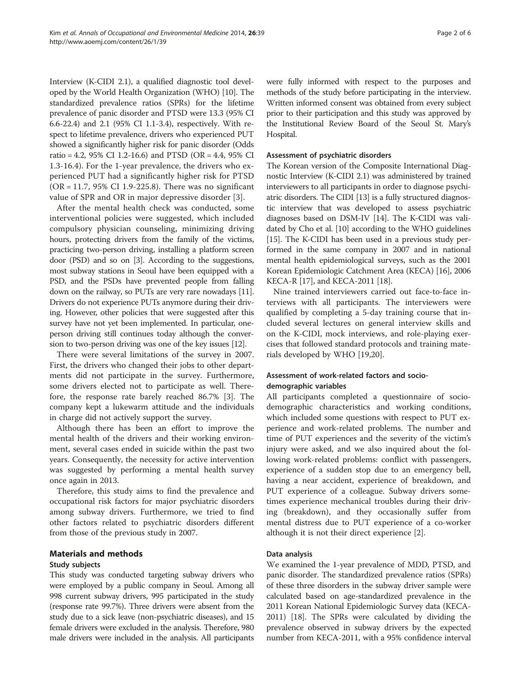Interview (K-CIDI 2.1), a qualified diagnostic tool developed by the World Health Organization (WHO) [\[10\]](#page-4-0). The standardized prevalence ratios (SPRs) for the lifetime prevalence of panic disorder and PTSD were 13.3 (95% CI 6.6-22.4) and 2.1 (95% CI 1.1-3.4), respectively. With respect to lifetime prevalence, drivers who experienced PUT showed a significantly higher risk for panic disorder (Odds ratio = 4.2, 95% CI 1.2-16.6) and PTSD (OR = 4.4, 95% CI 1.3-16.4). For the 1-year prevalence, the drivers who experienced PUT had a significantly higher risk for PTSD (OR = 11.7, 95% CI 1.9-225.8). There was no significant value of SPR and OR in major depressive disorder [[3\]](#page-4-0).

After the mental health check was conducted, some interventional policies were suggested, which included compulsory physician counseling, minimizing driving hours, protecting drivers from the family of the victims, practicing two-person driving, installing a platform screen door (PSD) and so on [[3](#page-4-0)]. According to the suggestions, most subway stations in Seoul have been equipped with a PSD, and the PSDs have prevented people from falling down on the railway, so PUTs are very rare nowadays [\[11](#page-4-0)]. Drivers do not experience PUTs anymore during their driving. However, other policies that were suggested after this survey have not yet been implemented. In particular, oneperson driving still continues today although the conversion to two-person driving was one of the key issues [[12](#page-5-0)].

There were several limitations of the survey in 2007. First, the drivers who changed their jobs to other departments did not participate in the survey. Furthermore, some drivers elected not to participate as well. Therefore, the response rate barely reached 86.7% [[3\]](#page-4-0). The company kept a lukewarm attitude and the individuals in charge did not actively support the survey.

Although there has been an effort to improve the mental health of the drivers and their working environment, several cases ended in suicide within the past two years. Consequently, the necessity for active intervention was suggested by performing a mental health survey once again in 2013.

Therefore, this study aims to find the prevalence and occupational risk factors for major psychiatric disorders among subway drivers. Furthermore, we tried to find other factors related to psychiatric disorders different from those of the previous study in 2007.

#### Materials and methods

#### Study subjects

This study was conducted targeting subway drivers who were employed by a public company in Seoul. Among all 998 current subway drivers, 995 participated in the study (response rate 99.7%). Three drivers were absent from the study due to a sick leave (non-psychiatric diseases), and 15 female drivers were excluded in the analysis. Therefore, 980 male drivers were included in the analysis. All participants were fully informed with respect to the purposes and methods of the study before participating in the interview. Written informed consent was obtained from every subject prior to their participation and this study was approved by the Institutional Review Board of the Seoul St. Mary's Hospital.

#### Assessment of psychiatric disorders

The Korean version of the Composite International Diagnostic Interview (K-CIDI 2.1) was administered by trained interviewers to all participants in order to diagnose psychiatric disorders. The CIDI [\[13\]](#page-5-0) is a fully structured diagnostic interview that was developed to assess psychiatric diagnoses based on DSM-IV [[14](#page-5-0)]. The K-CIDI was validated by Cho et al. [[10](#page-4-0)] according to the WHO guidelines [[15](#page-5-0)]. The K-CIDI has been used in a previous study performed in the same company in 2007 and in national mental health epidemiological surveys, such as the 2001 Korean Epidemiologic Catchment Area (KECA) [[16](#page-5-0)], 2006 KECA-R [\[17\]](#page-5-0), and KECA-2011 [\[18\]](#page-5-0).

Nine trained interviewers carried out face-to-face interviews with all participants. The interviewers were qualified by completing a 5-day training course that included several lectures on general interview skills and on the K-CIDI, mock interviews, and role-playing exercises that followed standard protocols and training materials developed by WHO [\[19,20](#page-5-0)].

## Assessment of work-related factors and sociodemographic variables

All participants completed a questionnaire of sociodemographic characteristics and working conditions, which included some questions with respect to PUT experience and work-related problems. The number and time of PUT experiences and the severity of the victim's injury were asked, and we also inquired about the following work-related problems: conflict with passengers, experience of a sudden stop due to an emergency bell, having a near accident, experience of breakdown, and PUT experience of a colleague. Subway drivers sometimes experience mechanical troubles during their driving (breakdown), and they occasionally suffer from mental distress due to PUT experience of a co-worker although it is not their direct experience [\[2](#page-4-0)].

#### Data analysis

We examined the 1-year prevalence of MDD, PTSD, and panic disorder. The standardized prevalence ratios (SPRs) of these three disorders in the subway driver sample were calculated based on age-standardized prevalence in the 2011 Korean National Epidemiologic Survey data (KECA-2011) [[18](#page-5-0)]. The SPRs were calculated by dividing the prevalence observed in subway drivers by the expected number from KECA-2011, with a 95% confidence interval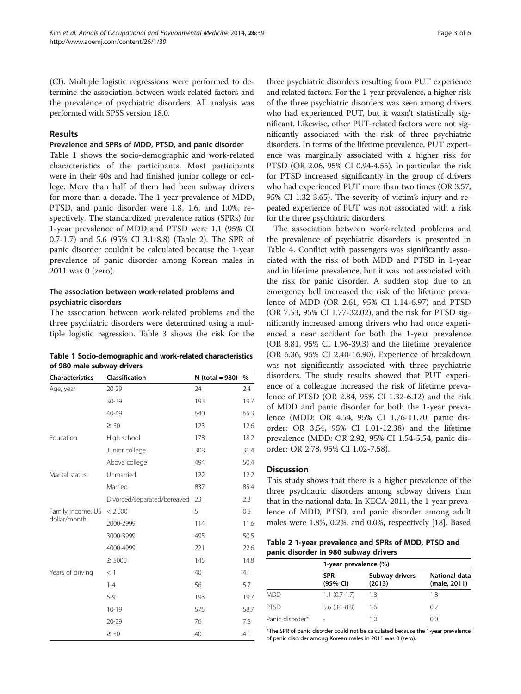(CI). Multiple logistic regressions were performed to determine the association between work-related factors and the prevalence of psychiatric disorders. All analysis was performed with SPSS version 18.0.

## Results

#### Prevalence and SPRs of MDD, PTSD, and panic disorder

Table 1 shows the socio-demographic and work-related characteristics of the participants. Most participants were in their 40s and had finished junior college or college. More than half of them had been subway drivers for more than a decade. The 1-year prevalence of MDD, PTSD, and panic disorder were 1.8, 1.6, and 1.0%, respectively. The standardized prevalence ratios (SPRs) for 1-year prevalence of MDD and PTSD were 1.1 (95% CI 0.7-1.7) and 5.6 (95% CI 3.1-8.8) (Table 2). The SPR of panic disorder couldn't be calculated because the 1-year prevalence of panic disorder among Korean males in 2011 was 0 (zero).

## The association between work-related problems and psychiatric disorders

The association between work-related problems and the three psychiatric disorders were determined using a multiple logistic regression. Table [3](#page-3-0) shows the risk for the

| Table 1 Socio-demographic and work-related characteristics |  |
|------------------------------------------------------------|--|
| of 980 male subway drivers                                 |  |

| <b>Characteristics</b> | <b>Classification</b>       | $N$ (total = 980) | %    |
|------------------------|-----------------------------|-------------------|------|
| Age, year              | $20 - 29$                   | 24                | 2.4  |
|                        | 30-39                       | 193               | 19.7 |
|                        | 40-49                       | 640               | 65.3 |
|                        | $\geq 50$                   | 123               | 12.6 |
| Education              | High school                 | 178               | 18.2 |
|                        | Junior college              | 308               | 31.4 |
|                        | Above college               | 494               | 50.4 |
| Marital status         | Unmarried                   | 122               | 12.2 |
|                        | Married                     | 837               | 85.4 |
|                        | Divorced/separated/bereaved | 23                | 2.3  |
| Family income, US      | < 2,000                     | 5                 | 0.5  |
| dollar/month           | 2000-2999                   | 114               | 11.6 |
|                        | 3000-3999                   | 495               | 50.5 |
|                        | 4000-4999                   | 221               | 22.6 |
|                        | $\geq 5000$                 | 145               | 14.8 |
| Years of driving       | $<$ 1                       | 40                | 4.1  |
|                        | $1 - 4$                     | 56                | 5.7  |
|                        | $5 - 9$                     | 193               | 19.7 |
|                        | $10 - 19$                   | 575               | 58.7 |
|                        | $20 - 29$                   | 76                | 7.8  |
|                        | $\geq 30$                   | 40                | 4.1  |

three psychiatric disorders resulting from PUT experience and related factors. For the 1-year prevalence, a higher risk of the three psychiatric disorders was seen among drivers who had experienced PUT, but it wasn't statistically significant. Likewise, other PUT-related factors were not significantly associated with the risk of three psychiatric disorders. In terms of the lifetime prevalence, PUT experience was marginally associated with a higher risk for PTSD (OR 2.06, 95% CI 0.94-4.55). In particular, the risk for PTSD increased significantly in the group of drivers who had experienced PUT more than two times (OR 3.57, 95% CI 1.32-3.65). The severity of victim's injury and repeated experience of PUT was not associated with a risk for the three psychiatric disorders.

The association between work-related problems and the prevalence of psychiatric disorders is presented in Table [4](#page-3-0). Conflict with passengers was significantly associated with the risk of both MDD and PTSD in 1-year and in lifetime prevalence, but it was not associated with the risk for panic disorder. A sudden stop due to an emergency bell increased the risk of the lifetime prevalence of MDD (OR 2.61, 95% CI 1.14-6.97) and PTSD (OR 7.53, 95% CI 1.77-32.02), and the risk for PTSD significantly increased among drivers who had once experienced a near accident for both the 1-year prevalence (OR 8.81, 95% CI 1.96-39.3) and the lifetime prevalence (OR 6.36, 95% CI 2.40-16.90). Experience of breakdown was not significantly associated with three psychiatric disorders. The study results showed that PUT experience of a colleague increased the risk of lifetime prevalence of PTSD (OR 2.84, 95% CI 1.32-6.12) and the risk of MDD and panic disorder for both the 1-year prevalence (MDD: OR 4.54, 95% CI 1.76-11.70, panic disorder: OR 3.54, 95% CI 1.01-12.38) and the lifetime prevalence (MDD: OR 2.92, 95% CI 1.54-5.54, panic disorder: OR 2.78, 95% CI 1.02-7.58).

## **Discussion**

This study shows that there is a higher prevalence of the three psychiatric disorders among subway drivers than that in the national data. In KECA-2011, the 1-year prevalence of MDD, PTSD, and panic disorder among adult males were 1.8%, 0.2%, and 0.0%, respectively [[18](#page-5-0)]. Based

Table 2 1-year prevalence and SPRs of MDD, PTSD and panic disorder in 980 subway drivers

|                 | 1-year prevalence (%)  |                          |                                      |  |  |  |  |  |  |  |
|-----------------|------------------------|--------------------------|--------------------------------------|--|--|--|--|--|--|--|
|                 | <b>SPR</b><br>(95% CI) | Subway drivers<br>(2013) | <b>National data</b><br>(male, 2011) |  |  |  |  |  |  |  |
| MDD             | $1.1(0.7-1.7)$         | 1.8                      | 1.8                                  |  |  |  |  |  |  |  |
| PTSD            | $5.6(3.1-8.8)$         | 1.6                      | $0.2^{\circ}$                        |  |  |  |  |  |  |  |
| Panic disorder* |                        | 10                       | 0.0                                  |  |  |  |  |  |  |  |

\*The SPR of panic disorder could not be calculated because the 1-year prevalence of panic disorder among Korean males in 2011 was 0 (zero).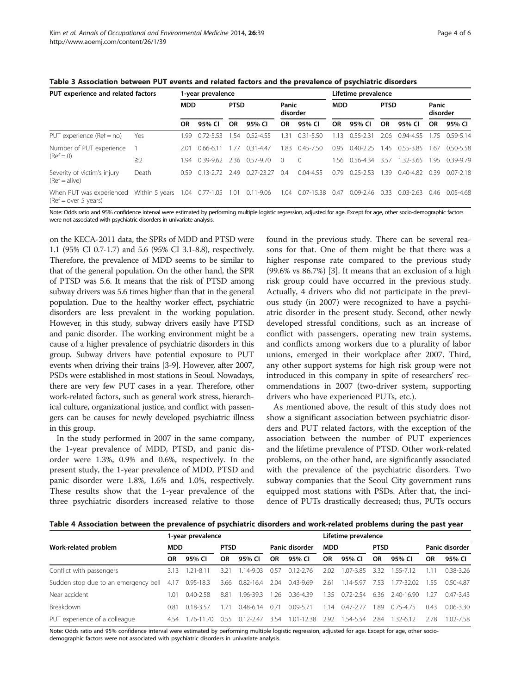<span id="page-3-0"></span>

| Table 3 Association between PUT events and related factors and the prevalence of psychiatric disorders |  |  |  |  |  |
|--------------------------------------------------------------------------------------------------------|--|--|--|--|--|
|--------------------------------------------------------------------------------------------------------|--|--|--|--|--|

| PUT experience and related factors                                               |        |            | 1-year prevalence |             |                 |                   | Lifetime prevalence |            |               |             |               |                   |               |
|----------------------------------------------------------------------------------|--------|------------|-------------------|-------------|-----------------|-------------------|---------------------|------------|---------------|-------------|---------------|-------------------|---------------|
|                                                                                  |        | <b>MDD</b> |                   | <b>PTSD</b> |                 | Panic<br>disorder |                     | <b>MDD</b> |               | <b>PTSD</b> |               | Panic<br>disorder |               |
|                                                                                  |        | OR.        | 95% CI            | <b>OR</b>   | 95% CI          | <b>OR</b>         | 95% CI              | <b>OR</b>  | 95% CI        | OR          | 95% CI        | <b>OR</b>         | 95% CI        |
| PUT experience $(Ref = no)$                                                      | Yes    | 1.99       | $0.72 - 5.53$     | .54         | 0.52-4.55       | .31               | $0.31 - 5.50$       | 1.13       | $0.55 - 2.31$ | 2.06        | $0.94 - 4.55$ | 75                | $0.59 - 5.14$ |
| Number of PUT experience<br>$(Ref = 0)$                                          |        | 2.01       | $0.66 - 6.11$     | -77         | $0.31 - 4.47$   | .83               | $0.45 - 7.50$       | 0.95       | $0.40 - 2.25$ | 1.45        | 0.55-3.85     | -67               | $0.50 - 5.58$ |
|                                                                                  | $\geq$ | 1.94       | $0.39 - 9.62$     | 2.36        | $0.57 - 9.70$   | $\Omega$          | $\Omega$            | 156.       | 0.56-4.34     | 3.57        | 1.32-3.65     | .95               | 0.39-9.79     |
| Severity of victim's injury<br>$(Ref = alive)$                                   | Death  | O 59       | $0.13 - 2.72$     | 2.49        | 0.27-23.27      | 0.4               | $0.04 - 4.55$       | 0.79       | $0.25 - 2.53$ | 1.39        | $0.40 - 4.82$ | 0.39              | $0.07 - 2.18$ |
| When PUT was experienced Within 5 years 1.04 0.77-1.05<br>$(Ref = over 5 years)$ |        |            |                   |             | 1.01  0.11-9.06 | 1.04              | 0.07-15.38          | 0.47       | $0.09 - 2.46$ | 0.33        | $0.03 - 2.63$ | 0.46              | 0.05-4.68     |

Note: Odds ratio and 95% confidence interval were estimated by performing multiple logistic regression, adjusted for age. Except for age, other socio-demographic factors were not associated with psychiatric disorders in univariate analysis.

on the KECA-2011 data, the SPRs of MDD and PTSD were 1.1 (95% CI 0.7-1.7) and 5.6 (95% CI 3.1-8.8), respectively. Therefore, the prevalence of MDD seems to be similar to that of the general population. On the other hand, the SPR of PTSD was 5.6. It means that the risk of PTSD among subway drivers was 5.6 times higher than that in the general population. Due to the healthy worker effect, psychiatric disorders are less prevalent in the working population. However, in this study, subway drivers easily have PTSD and panic disorder. The working environment might be a cause of a higher prevalence of psychiatric disorders in this group. Subway drivers have potential exposure to PUT events when driving their trains [\[3-9](#page-4-0)]. However, after 2007, PSDs were established in most stations in Seoul. Nowadays, there are very few PUT cases in a year. Therefore, other work-related factors, such as general work stress, hierarchical culture, organizational justice, and conflict with passengers can be causes for newly developed psychiatric illness in this group.

In the study performed in 2007 in the same company, the 1-year prevalence of MDD, PTSD, and panic disorder were 1.3%, 0.9% and 0.6%, respectively. In the present study, the 1-year prevalence of MDD, PTSD and panic disorder were 1.8%, 1.6% and 1.0%, respectively. These results show that the 1-year prevalence of the three psychiatric disorders increased relative to those

found in the previous study. There can be several reasons for that. One of them might be that there was a higher response rate compared to the previous study (99.6% vs 86.7%) [[3](#page-4-0)]. It means that an exclusion of a high risk group could have occurred in the previous study. Actually, 4 drivers who did not participate in the previous study (in 2007) were recognized to have a psychiatric disorder in the present study. Second, other newly developed stressful conditions, such as an increase of conflict with passengers, operating new train systems, and conflicts among workers due to a plurality of labor unions, emerged in their workplace after 2007. Third, any other support systems for high risk group were not introduced in this company in spite of researchers' recommendations in 2007 (two-driver system, supporting drivers who have experienced PUTs, etc.).

As mentioned above, the result of this study does not show a significant association between psychiatric disorders and PUT related factors, with the exception of the association between the number of PUT experiences and the lifetime prevalence of PTSD. Other work-related problems, on the other hand, are significantly associated with the prevalence of the psychiatric disorders. Two subway companies that the Seoul City government runs equipped most stations with PSDs. After that, the incidence of PUTs drastically decreased; thus, PUTs occurs

Table 4 Association between the prevalence of psychiatric disorders and work-related problems during the past year

|                                      | 1-year prevalence |             |             |               |                |               |            | Lifetime prevalence |             |               |                |               |  |
|--------------------------------------|-------------------|-------------|-------------|---------------|----------------|---------------|------------|---------------------|-------------|---------------|----------------|---------------|--|
| Work-related problem                 | <b>MDD</b>        |             | <b>PTSD</b> |               | Panic disorder |               | <b>MDD</b> |                     | <b>PTSD</b> |               | Panic disorder |               |  |
|                                      | <b>OR</b>         | 95% CI      | <b>OR</b>   | 95% CI        | <b>OR</b>      | 95% CI        | <b>OR</b>  | 95% CI              | <b>OR</b>   | 95% CI        | <b>OR</b>      | 95% CI        |  |
| Conflict with passengers             | 3.13              | $.21 - 8.1$ |             | 1.14-9.03     | ( ) 5,         | በ 12-2 76     | 2.02       | 1.07-3.85           | 3.32        | 55-712        |                | 0.38-3.26     |  |
| Sudden stop due to an emergency bell | 4.17              | 0.95-18.3   | 3.66        | $0.82 - 16.4$ | 2.04           | 0.43-9.69     | 2.61       | 1.14-5.97           | 7.53        | 77-3202       | -55            | 0.50-4.87     |  |
| Near accident                        | l 01              | $040 - 258$ | 8.81        | 196-393       | -26            | 0.36-4.39     | 1.35       | $0.72 - 2.54$       | 6.36        | 2.40-16.90    | 1 27           | $0.47 - 3.43$ |  |
| Breakdown                            | 0.81              | $018 - 357$ | 71          | 048-614       | O 71           | $0.09 - 5.71$ | 1 1 4      | $047 - 277$         | 1.89        | $0.75 - 4.75$ | 0.43           | $0.06 - 3.30$ |  |
| PUT experience of a colleague        | 4.54              | 76-1        |             | በ 12-2 47     | 3.54           | 1 01-12 38    | 2.92       | 1.54-5.54           | 2.84        | $32 - 612$    | 278            | 02-758        |  |

Note: Odds ratio and 95% confidence interval were estimated by performing multiple logistic regression, adjusted for age. Except for age, other sociodemographic factors were not associated with psychiatric disorders in univariate analysis.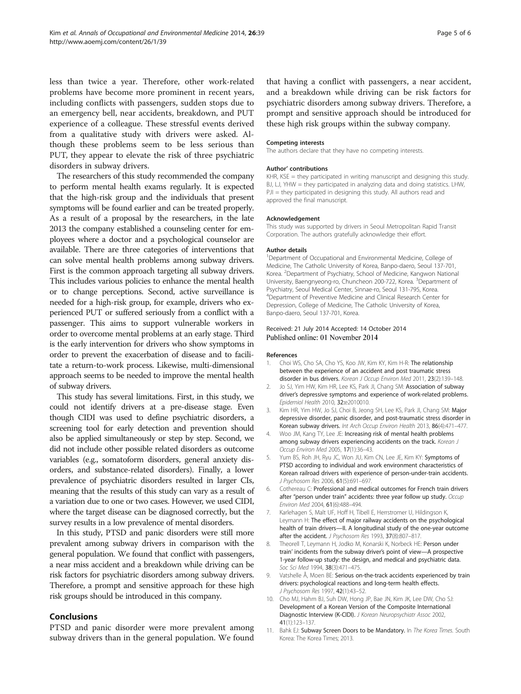<span id="page-4-0"></span>less than twice a year. Therefore, other work-related problems have become more prominent in recent years, including conflicts with passengers, sudden stops due to an emergency bell, near accidents, breakdown, and PUT experience of a colleague. These stressful events derived from a qualitative study with drivers were asked. Although these problems seem to be less serious than PUT, they appear to elevate the risk of three psychiatric disorders in subway drivers.

The researchers of this study recommended the company to perform mental health exams regularly. It is expected that the high-risk group and the individuals that present symptoms will be found earlier and can be treated properly. As a result of a proposal by the researchers, in the late 2013 the company established a counseling center for employees where a doctor and a psychological counselor are available. There are three categories of interventions that can solve mental health problems among subway drivers. First is the common approach targeting all subway drivers. This includes various policies to enhance the mental health or to change perceptions. Second, active surveillance is needed for a high-risk group, for example, drivers who experienced PUT or suffered seriously from a conflict with a passenger. This aims to support vulnerable workers in order to overcome mental problems at an early stage. Third is the early intervention for drivers who show symptoms in order to prevent the exacerbation of disease and to facilitate a return-to-work process. Likewise, multi-dimensional approach seems to be needed to improve the mental health of subway drivers.

This study has several limitations. First, in this study, we could not identify drivers at a pre-disease stage. Even though CIDI was used to define psychiatric disorders, a screening tool for early detection and prevention should also be applied simultaneously or step by step. Second, we did not include other possible related disorders as outcome variables (e.g., somatoform disorders, general anxiety disorders, and substance-related disorders). Finally, a lower prevalence of psychiatric disorders resulted in larger CIs, meaning that the results of this study can vary as a result of a variation due to one or two cases. However, we used CIDI, where the target disease can be diagnosed correctly, but the survey results in a low prevalence of mental disorders.

In this study, PTSD and panic disorders were still more prevalent among subway drivers in comparison with the general population. We found that conflict with passengers, a near miss accident and a breakdown while driving can be risk factors for psychiatric disorders among subway drivers. Therefore, a prompt and sensitive approach for these high risk groups should be introduced in this company.

#### Conclusions

PTSD and panic disorder were more prevalent among subway drivers than in the general population. We found that having a conflict with passengers, a near accident, and a breakdown while driving can be risk factors for psychiatric disorders among subway drivers. Therefore, a prompt and sensitive approach should be introduced for these high risk groups within the subway company.

#### Competing interests

The authors declare that they have no competing interests.

#### Author' contributions

KHR, KSE = they participated in writing manuscript and designing this study. BJ, LJ, YHW = they participated in analyzing data and doing statistics. LHW, PJI = they participated in designing this study. All authors read and approved the final manuscript.

#### Acknowledgement

This study was supported by drivers in Seoul Metropolitan Rapid Transit Corporation. The authors gratefully acknowledge their effort.

#### Author details

<sup>1</sup>Department of Occupational and Environmental Medicine, College of Medicine, The Catholic University of Korea, Banpo-daero, Seoul 137-701, Korea. <sup>2</sup> Department of Psychiatry, School of Medicine, Kangwon National University, Baengnyeong-ro, Chuncheon 200-722, Korea. <sup>3</sup>Department of Psychiatry, Seoul Medical Center, Sinnae-ro, Seoul 131-795, Korea. 4 Department of Preventive Medicine and Clinical Research Center for Depression, College of Medicine, The Catholic University of Korea, Banpo-daero, Seoul 137-701, Korea.

#### Received: 21 July 2014 Accepted: 14 October 2014 Published online: 01 November 2014

#### References

- 1. Choi WS, Cho SA, Cho YS, Koo JW, Kim KY, Kim H-R: The relationship between the experience of an accident and post traumatic stress disorder in bus drivers. Korean J Occup Environ Med 2011, 23(2):139-148.
- Jo SJ, Yim HW, Kim HR, Lee KS, Park JI, Chang SM: Association of subway driver's depressive symptoms and experience of work-related problems. Epidemiol Health 2010, 32:e2010010.
- 3. Kim HR, Yim HW, Jo SJ, Choi B, Jeong SH, Lee KS, Park JI, Chang SM: Major depressive disorder, panic disorder, and post-traumatic stress disorder in Korean subway drivers. Int Arch Occup Environ Health 2013, 86(4):471–477.
- 4. Woo JM, Kang TY, Lee JE: Increasing risk of mental health problems among subway drivers experiencing accidents on the track. Korean J Occup Environ Med 2005, 17(1):36–43.
- 5. Yum BS, Roh JH, Ryu JC, Won JU, Kim CN, Lee JE, Kim KY: Symptoms of PTSD according to individual and work environment characteristics of Korean railroad drivers with experience of person-under-train accidents. J Psychosom Res 2006, 61(5):691–697.
- 6. Cothereau C: Professional and medical outcomes for French train drivers after "person under train" accidents: three year follow up study. Occup Environ Med 2004, 61(6):488–494.
- 7. Karlehagen S, Malt UF, Hoff H, Tibell E, Herrstromer U, Hildingson K, Leymann H: The effect of major railway accidents on the psychological health of train drivers—II. A longitudinal study of the one-year outcome after the accident. J Psychosom Res 1993, 37(8):807-817.
- 8. Theorell T, Leymann H, Jodko M, Konarski K, Norbeck HE: Person under train' incidents from the subway driver's point of view—A prospective 1-year follow-up study: the design, and medical and psychiatric data. Soc Sci Med 1994, 38(3):471-475.
- 9. Vatshelle Å, Moen BE: Serious on-the-track accidents experienced by train drivers: psychological reactions and long-term health effects. J Psychosom Res 1997, 42(1):43–52.
- 10. Cho MJ, Hahm BJ, Suh DW, Hong JP, Bae JN, Kim JK, Lee DW, Cho SJ: Development of a Korean Version of the Composite International Diagnostic Interview (K-CIDI). J Korean Neuropsychiatr Assoc 2002, 41(1):123–137.
- 11. Bahk EJ: Subway Screen Doors to be Mandatory. In The Korea Times. South Korea: The Korea Times; 2013.